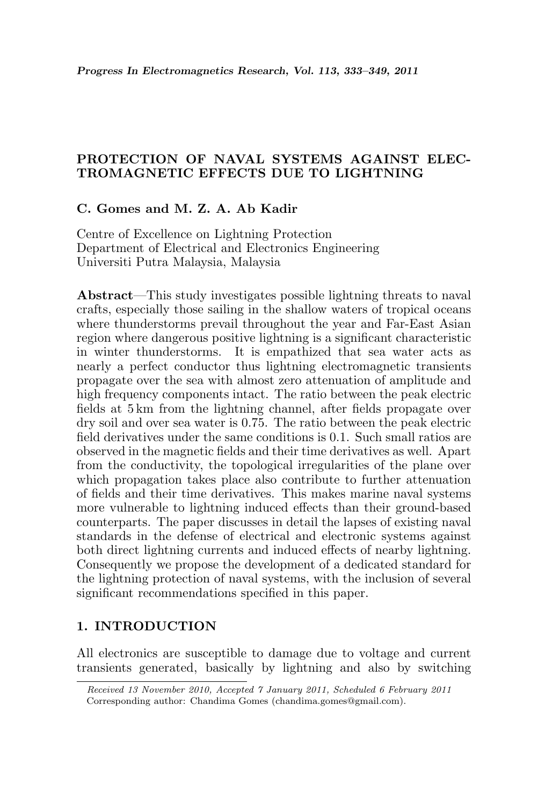# PROTECTION OF NAVAL SYSTEMS AGAINST ELEC-TROMAGNETIC EFFECTS DUE TO LIGHTNING

## C. Gomes and M. Z. A. Ab Kadir

Centre of Excellence on Lightning Protection Department of Electrical and Electronics Engineering Universiti Putra Malaysia, Malaysia

Abstract—This study investigates possible lightning threats to naval crafts, especially those sailing in the shallow waters of tropical oceans where thunderstorms prevail throughout the year and Far-East Asian region where dangerous positive lightning is a significant characteristic in winter thunderstorms. It is empathized that sea water acts as nearly a perfect conductor thus lightning electromagnetic transients propagate over the sea with almost zero attenuation of amplitude and high frequency components intact. The ratio between the peak electric fields at 5 km from the lightning channel, after fields propagate over dry soil and over sea water is 0.75. The ratio between the peak electric field derivatives under the same conditions is 0.1. Such small ratios are observed in the magnetic fields and their time derivatives as well. Apart from the conductivity, the topological irregularities of the plane over which propagation takes place also contribute to further attenuation of fields and their time derivatives. This makes marine naval systems more vulnerable to lightning induced effects than their ground-based counterparts. The paper discusses in detail the lapses of existing naval standards in the defense of electrical and electronic systems against both direct lightning currents and induced effects of nearby lightning. Consequently we propose the development of a dedicated standard for the lightning protection of naval systems, with the inclusion of several significant recommendations specified in this paper.

### 1. INTRODUCTION

All electronics are susceptible to damage due to voltage and current transients generated, basically by lightning and also by switching

Received 13 November 2010, Accepted 7 January 2011, Scheduled 6 February 2011 Corresponding author: Chandima Gomes (chandima.gomes@gmail.com).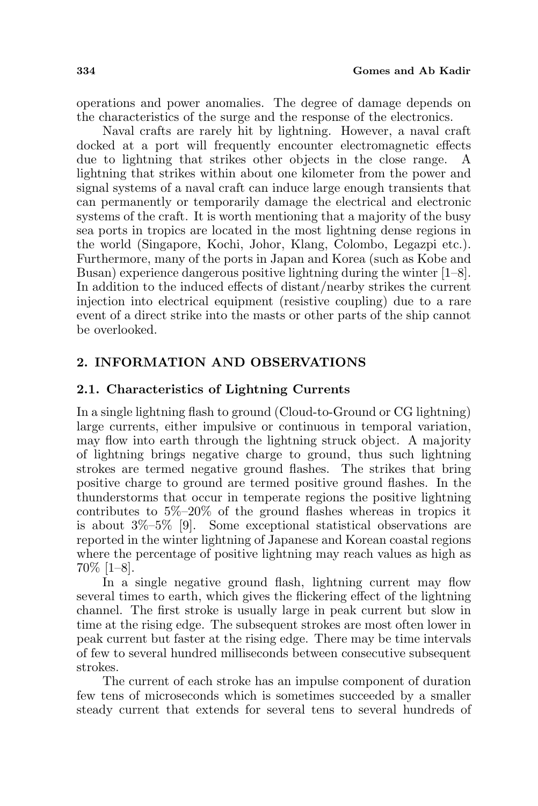operations and power anomalies. The degree of damage depends on the characteristics of the surge and the response of the electronics.

Naval crafts are rarely hit by lightning. However, a naval craft docked at a port will frequently encounter electromagnetic effects due to lightning that strikes other objects in the close range. A lightning that strikes within about one kilometer from the power and signal systems of a naval craft can induce large enough transients that can permanently or temporarily damage the electrical and electronic systems of the craft. It is worth mentioning that a majority of the busy sea ports in tropics are located in the most lightning dense regions in the world (Singapore, Kochi, Johor, Klang, Colombo, Legazpi etc.). Furthermore, many of the ports in Japan and Korea (such as Kobe and Busan) experience dangerous positive lightning during the winter [1–8]. In addition to the induced effects of distant/nearby strikes the current injection into electrical equipment (resistive coupling) due to a rare event of a direct strike into the masts or other parts of the ship cannot be overlooked.

# 2. INFORMATION AND OBSERVATIONS

## 2.1. Characteristics of Lightning Currents

In a single lightning flash to ground (Cloud-to-Ground or CG lightning) large currents, either impulsive or continuous in temporal variation, may flow into earth through the lightning struck object. A majority of lightning brings negative charge to ground, thus such lightning strokes are termed negative ground flashes. The strikes that bring positive charge to ground are termed positive ground flashes. In the thunderstorms that occur in temperate regions the positive lightning contributes to  $5\%$ -20% of the ground flashes whereas in tropics it is about 3%–5% [9]. Some exceptional statistical observations are reported in the winter lightning of Japanese and Korean coastal regions where the percentage of positive lightning may reach values as high as 70% [1–8].

In a single negative ground flash, lightning current may flow several times to earth, which gives the flickering effect of the lightning channel. The first stroke is usually large in peak current but slow in time at the rising edge. The subsequent strokes are most often lower in peak current but faster at the rising edge. There may be time intervals of few to several hundred milliseconds between consecutive subsequent strokes.

The current of each stroke has an impulse component of duration few tens of microseconds which is sometimes succeeded by a smaller steady current that extends for several tens to several hundreds of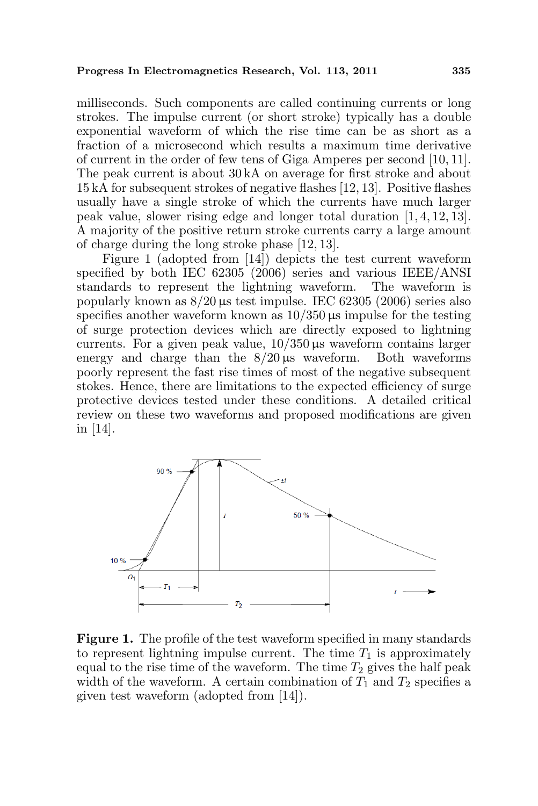milliseconds. Such components are called continuing currents or long strokes. The impulse current (or short stroke) typically has a double exponential waveform of which the rise time can be as short as a fraction of a microsecond which results a maximum time derivative of current in the order of few tens of Giga Amperes per second [10, 11]. The peak current is about 30 kA on average for first stroke and about 15 kA for subsequent strokes of negative flashes [12, 13]. Positive flashes usually have a single stroke of which the currents have much larger peak value, slower rising edge and longer total duration [1, 4, 12, 13]. A majority of the positive return stroke currents carry a large amount of charge during the long stroke phase [12, 13].

Figure 1 (adopted from [14]) depicts the test current waveform specified by both IEC 62305 (2006) series and various IEEE/ANSI standards to represent the lightning waveform. The waveform is popularly known as  $8/20 \mu s$  test impulse. IEC 62305 (2006) series also specifies another waveform known as  $10/350 \,\mu s$  impulse for the testing of surge protection devices which are directly exposed to lightning currents. For a given peak value, 10/350 µs waveform contains larger energy and charge than the  $8/20 \,\mu s$  waveform. Both waveforms poorly represent the fast rise times of most of the negative subsequent stokes. Hence, there are limitations to the expected efficiency of surge protective devices tested under these conditions. A detailed critical review on these two waveforms and proposed modifications are given in [14].



Figure 1. The profile of the test waveform specified in many standards to represent lightning impulse current. The time  $T_1$  is approximately equal to the rise time of the waveform. The time  $T_2$  gives the half peak width of the waveform. A certain combination of  $T_1$  and  $T_2$  specifies a given test waveform (adopted from [14]).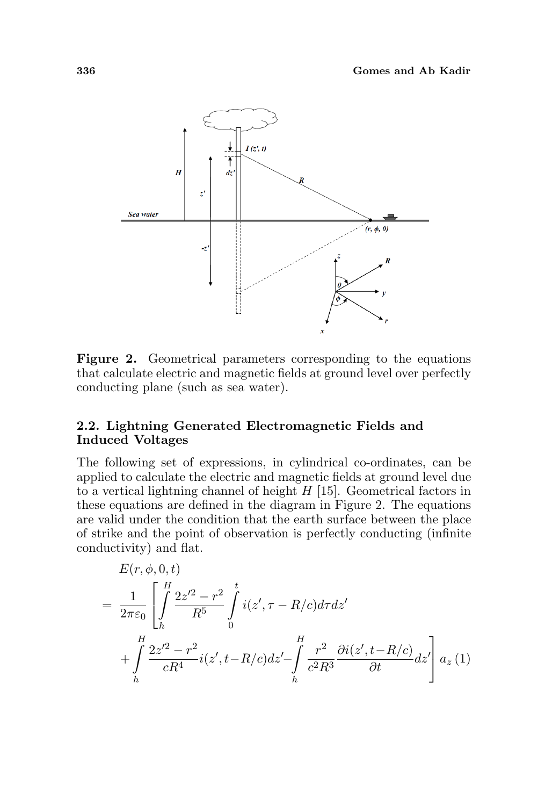

Figure 2. Geometrical parameters corresponding to the equations that calculate electric and magnetic fields at ground level over perfectly conducting plane (such as sea water).

## 2.2. Lightning Generated Electromagnetic Fields and Induced Voltages

The following set of expressions, in cylindrical co-ordinates, can be applied to calculate the electric and magnetic fields at ground level due to a vertical lightning channel of height  $H$  [15]. Geometrical factors in these equations are defined in the diagram in Figure 2. The equations are valid under the condition that the earth surface between the place of strike and the point of observation is perfectly conducting (infinite conductivity) and flat.

$$
E(r, \phi, 0, t)
$$
\n
$$
= \frac{1}{2\pi\varepsilon_0} \left[ \int_{h}^{H} \frac{2z'^2 - r^2}{R^5} \int_{0}^{t} i(z', \tau - R/c) d\tau dz' + \int_{h}^{H} \frac{2z'^2 - r^2}{cR^4} i(z', t - R/c) dz' - \int_{h}^{H} \frac{r^2}{c^2 R^3} \frac{\partial i(z', t - R/c)}{\partial t} dz' \right] a_z (1)
$$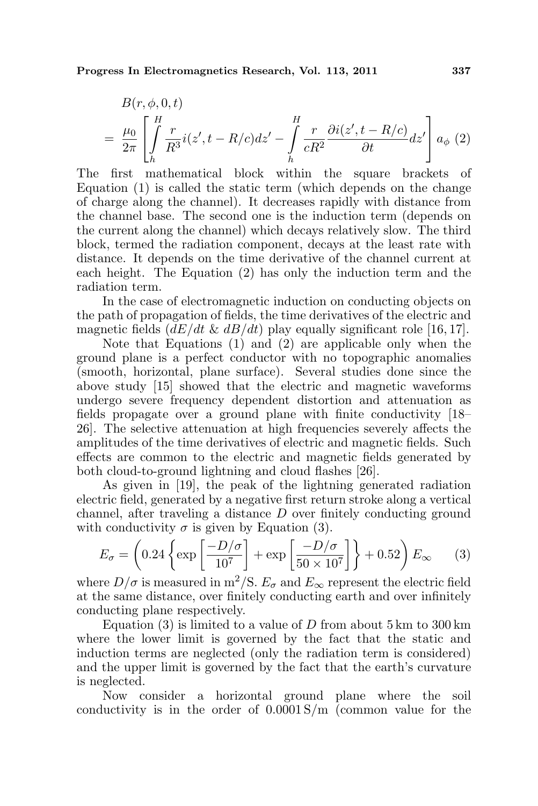Progress In Electromagnetics Research, Vol. 113, 2011 337

$$
B(r, \phi, 0, t)
$$
  
=  $\frac{\mu_0}{2\pi} \left[ \int\limits_h^H \frac{r}{R^3} i(z', t - R/c) dz' - \int\limits_h^H \frac{r}{cR^2} \frac{\partial i(z', t - R/c)}{\partial t} dz' \right] a_{\phi}$  (2)

The first mathematical block within the square brackets of Equation (1) is called the static term (which depends on the change of charge along the channel). It decreases rapidly with distance from the channel base. The second one is the induction term (depends on the current along the channel) which decays relatively slow. The third block, termed the radiation component, decays at the least rate with distance. It depends on the time derivative of the channel current at each height. The Equation (2) has only the induction term and the radiation term.

In the case of electromagnetic induction on conducting objects on the path of propagation of fields, the time derivatives of the electric and magnetic fields  $(dE/dt \& dB/dt)$  play equally significant role [16, 17].

Note that Equations (1) and (2) are applicable only when the ground plane is a perfect conductor with no topographic anomalies (smooth, horizontal, plane surface). Several studies done since the above study [15] showed that the electric and magnetic waveforms undergo severe frequency dependent distortion and attenuation as fields propagate over a ground plane with finite conductivity [18– 26]. The selective attenuation at high frequencies severely affects the amplitudes of the time derivatives of electric and magnetic fields. Such effects are common to the electric and magnetic fields generated by both cloud-to-ground lightning and cloud flashes [26].

As given in [19], the peak of the lightning generated radiation electric field, generated by a negative first return stroke along a vertical channel, after traveling a distance D over finitely conducting ground  $\overline{\phantom{a}}$ 

with conductivity 
$$
\sigma
$$
 is given by Equation (3).  
\n
$$
E_{\sigma} = \left(0.24 \left\{ \exp\left[\frac{-D/\sigma}{10^7}\right] + \exp\left[\frac{-D/\sigma}{50 \times 10^7}\right] \right\} + 0.52 \right) E_{\infty}
$$
\n(3)

where  $D/\sigma$  is measured in m<sup>2</sup>/S.  $E_{\sigma}$  and  $E_{\infty}$  represent the electric field at the same distance, over finitely conducting earth and over infinitely conducting plane respectively.

Equation (3) is limited to a value of D from about  $5 \text{ km}$  to  $300 \text{ km}$ where the lower limit is governed by the fact that the static and induction terms are neglected (only the radiation term is considered) and the upper limit is governed by the fact that the earth's curvature is neglected.

Now consider a horizontal ground plane where the soil conductivity is in the order of  $0.0001 S/m$  (common value for the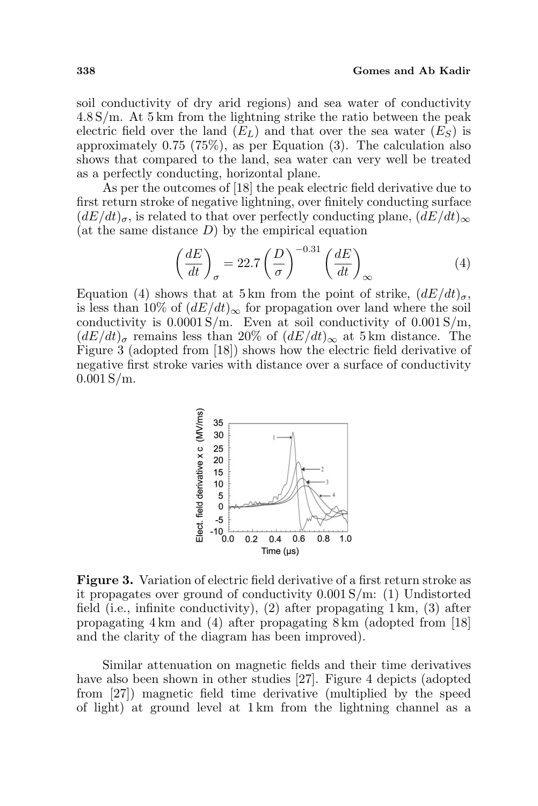soil conductivity of dry arid regions) and sea water of conductivity 4.8 S/m. At 5 km from the lightning strike the ratio between the peak electric field over the land  $(E_L)$  and that over the sea water  $(E_S)$  is approximately 0.75 (75%), as per Equation (3). The calculation also shows that compared to the land, sea water can very well be treated as a perfectly conducting, horizontal plane.

As per the outcomes of [18] the peak electric field derivative due to first return stroke of negative lightning, over finitely conducting surface  $(dE/dt)_{\sigma}$ , is related to that over perfectly conducting plane,  $(dE/dt)_{\infty}$ (at the same distance  $D$ ) by the empirical equation

$$
\left(\frac{dE}{dt}\right)_{\sigma} = 22.7 \left(\frac{D}{\sigma}\right)^{-0.31} \left(\frac{dE}{dt}\right)_{\infty} \tag{4}
$$

Equation (4) shows that at 5 km from the point of strike,  $(dE/dt)_{\sigma}$ , is less than 10% of  $(dE/dt)_{\infty}$  for propagation over land where the soil conductivity is  $0.0001 \text{ S/m}$ . Even at soil conductivity of  $0.001 \text{ S/m}$ ,  $(dE/dt)_{\sigma}$  remains less than 20% of  $(dE/dt)_{\infty}$  at 5 km distance. The Figure 3 (adopted from [18]) shows how the electric field derivative of negative first stroke varies with distance over a surface of conductivity  $0.001 S/m$ .



Figure 3. Variation of electric field derivative of a first return stroke as it propagates over ground of conductivity 0.001 S/m: (1) Undistorted field (i.e., infinite conductivity), (2) after propagating 1 km, (3) after propagating 4 km and (4) after propagating 8 km (adopted from [18] and the clarity of the diagram has been improved).

Similar attenuation on magnetic fields and their time derivatives have also been shown in other studies [27]. Figure 4 depicts (adopted from [27]) magnetic field time derivative (multiplied by the speed of light) at ground level at 1 km from the lightning channel as a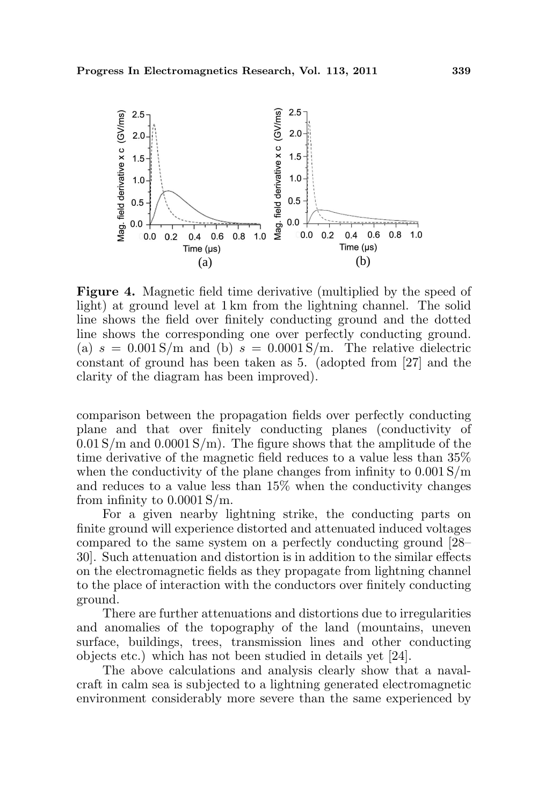

Figure 4. Magnetic field time derivative (multiplied by the speed of light) at ground level at 1 km from the lightning channel. The solid line shows the field over finitely conducting ground and the dotted line shows the corresponding one over perfectly conducting ground. (a)  $s = 0.001$  S/m and (b)  $s = 0.0001$  S/m. The relative dielectric constant of ground has been taken as 5. (adopted from [27] and the clarity of the diagram has been improved).

comparison between the propagation fields over perfectly conducting plane and that over finitely conducting planes (conductivity of  $0.01$  S/m and  $0.0001$  S/m). The figure shows that the amplitude of the time derivative of the magnetic field reduces to a value less than 35% when the conductivity of the plane changes from infinity to  $0.001 \text{ S/m}$ and reduces to a value less than 15% when the conductivity changes from infinity to  $0.0001 \text{ S/m}$ .

For a given nearby lightning strike, the conducting parts on finite ground will experience distorted and attenuated induced voltages compared to the same system on a perfectly conducting ground [28– 30]. Such attenuation and distortion is in addition to the similar effects on the electromagnetic fields as they propagate from lightning channel to the place of interaction with the conductors over finitely conducting ground.

There are further attenuations and distortions due to irregularities and anomalies of the topography of the land (mountains, uneven surface, buildings, trees, transmission lines and other conducting objects etc.) which has not been studied in details yet [24].

The above calculations and analysis clearly show that a navalcraft in calm sea is subjected to a lightning generated electromagnetic environment considerably more severe than the same experienced by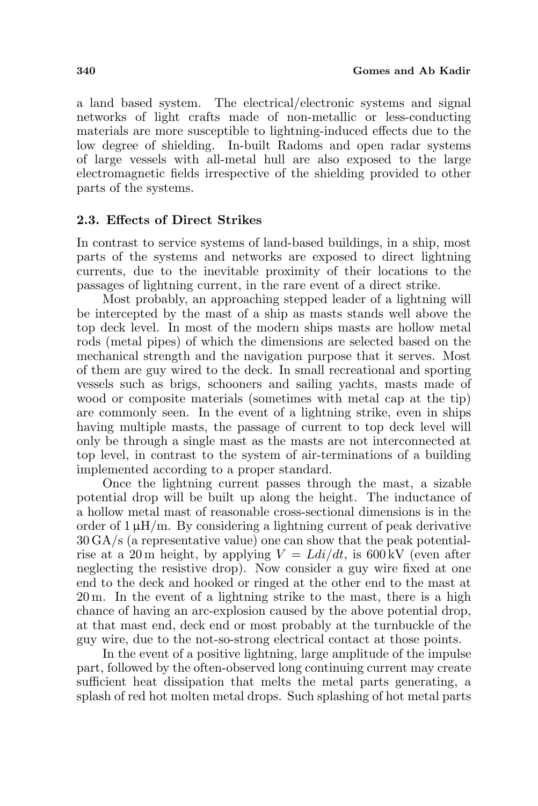a land based system. The electrical/electronic systems and signal networks of light crafts made of non-metallic or less-conducting materials are more susceptible to lightning-induced effects due to the low degree of shielding. In-built Radoms and open radar systems of large vessels with all-metal hull are also exposed to the large electromagnetic fields irrespective of the shielding provided to other parts of the systems.

#### 2.3. Effects of Direct Strikes

In contrast to service systems of land-based buildings, in a ship, most parts of the systems and networks are exposed to direct lightning currents, due to the inevitable proximity of their locations to the passages of lightning current, in the rare event of a direct strike.

Most probably, an approaching stepped leader of a lightning will be intercepted by the mast of a ship as masts stands well above the top deck level. In most of the modern ships masts are hollow metal rods (metal pipes) of which the dimensions are selected based on the mechanical strength and the navigation purpose that it serves. Most of them are guy wired to the deck. In small recreational and sporting vessels such as brigs, schooners and sailing yachts, masts made of wood or composite materials (sometimes with metal cap at the tip) are commonly seen. In the event of a lightning strike, even in ships having multiple masts, the passage of current to top deck level will only be through a single mast as the masts are not interconnected at top level, in contrast to the system of air-terminations of a building implemented according to a proper standard.

Once the lightning current passes through the mast, a sizable potential drop will be built up along the height. The inductance of a hollow metal mast of reasonable cross-sectional dimensions is in the order of  $1 \mu H/m$ . By considering a lightning current of peak derivative 30 GA/s (a representative value) one can show that the peak potentialrise at a 20 m height, by applying  $V = Ldi/dt$ , is 600 kV (even after neglecting the resistive drop). Now consider a guy wire fixed at one end to the deck and hooked or ringed at the other end to the mast at 20 m. In the event of a lightning strike to the mast, there is a high chance of having an arc-explosion caused by the above potential drop, at that mast end, deck end or most probably at the turnbuckle of the guy wire, due to the not-so-strong electrical contact at those points.

In the event of a positive lightning, large amplitude of the impulse part, followed by the often-observed long continuing current may create sufficient heat dissipation that melts the metal parts generating, a splash of red hot molten metal drops. Such splashing of hot metal parts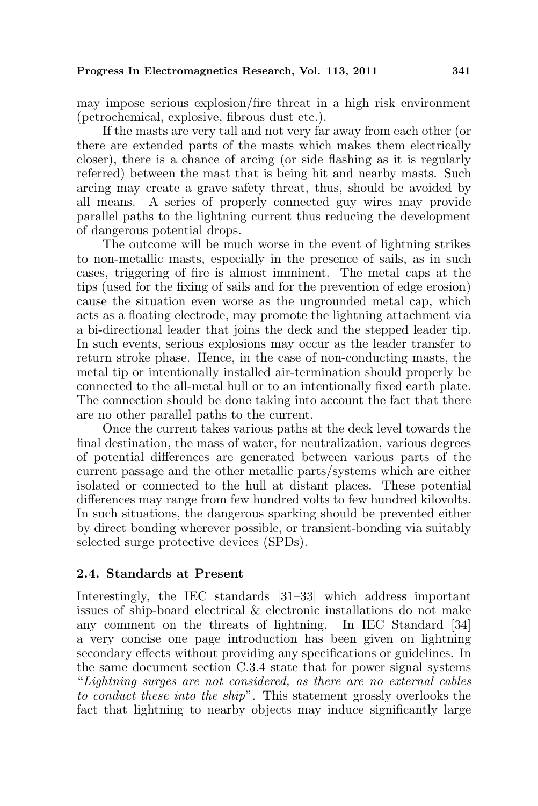may impose serious explosion/fire threat in a high risk environment (petrochemical, explosive, fibrous dust etc.).

If the masts are very tall and not very far away from each other (or there are extended parts of the masts which makes them electrically closer), there is a chance of arcing (or side flashing as it is regularly referred) between the mast that is being hit and nearby masts. Such arcing may create a grave safety threat, thus, should be avoided by all means. A series of properly connected guy wires may provide parallel paths to the lightning current thus reducing the development of dangerous potential drops.

The outcome will be much worse in the event of lightning strikes to non-metallic masts, especially in the presence of sails, as in such cases, triggering of fire is almost imminent. The metal caps at the tips (used for the fixing of sails and for the prevention of edge erosion) cause the situation even worse as the ungrounded metal cap, which acts as a floating electrode, may promote the lightning attachment via a bi-directional leader that joins the deck and the stepped leader tip. In such events, serious explosions may occur as the leader transfer to return stroke phase. Hence, in the case of non-conducting masts, the metal tip or intentionally installed air-termination should properly be connected to the all-metal hull or to an intentionally fixed earth plate. The connection should be done taking into account the fact that there are no other parallel paths to the current.

Once the current takes various paths at the deck level towards the final destination, the mass of water, for neutralization, various degrees of potential differences are generated between various parts of the current passage and the other metallic parts/systems which are either isolated or connected to the hull at distant places. These potential differences may range from few hundred volts to few hundred kilovolts. In such situations, the dangerous sparking should be prevented either by direct bonding wherever possible, or transient-bonding via suitably selected surge protective devices (SPDs).

#### 2.4. Standards at Present

Interestingly, the IEC standards [31–33] which address important issues of ship-board electrical & electronic installations do not make any comment on the threats of lightning. In IEC Standard [34] a very concise one page introduction has been given on lightning secondary effects without providing any specifications or guidelines. In the same document section C.3.4 state that for power signal systems "Lightning surges are not considered, as there are no external cables to conduct these into the ship". This statement grossly overlooks the fact that lightning to nearby objects may induce significantly large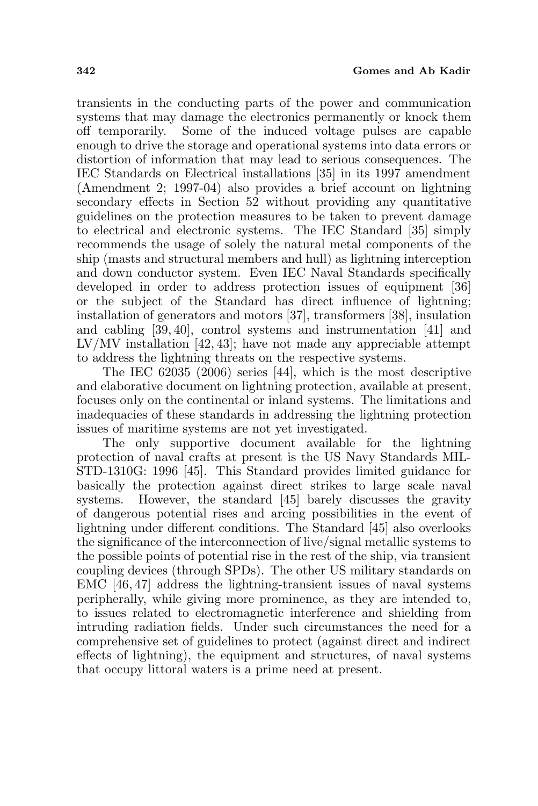transients in the conducting parts of the power and communication systems that may damage the electronics permanently or knock them off temporarily. Some of the induced voltage pulses are capable enough to drive the storage and operational systems into data errors or distortion of information that may lead to serious consequences. The IEC Standards on Electrical installations [35] in its 1997 amendment (Amendment 2; 1997-04) also provides a brief account on lightning secondary effects in Section 52 without providing any quantitative guidelines on the protection measures to be taken to prevent damage to electrical and electronic systems. The IEC Standard [35] simply recommends the usage of solely the natural metal components of the ship (masts and structural members and hull) as lightning interception and down conductor system. Even IEC Naval Standards specifically developed in order to address protection issues of equipment [36] or the subject of the Standard has direct influence of lightning; installation of generators and motors [37], transformers [38], insulation and cabling [39, 40], control systems and instrumentation [41] and LV/MV installation [42, 43]; have not made any appreciable attempt to address the lightning threats on the respective systems.

The IEC 62035 (2006) series [44], which is the most descriptive and elaborative document on lightning protection, available at present, focuses only on the continental or inland systems. The limitations and inadequacies of these standards in addressing the lightning protection issues of maritime systems are not yet investigated.

The only supportive document available for the lightning protection of naval crafts at present is the US Navy Standards MIL-STD-1310G: 1996 [45]. This Standard provides limited guidance for basically the protection against direct strikes to large scale naval systems. However, the standard [45] barely discusses the gravity of dangerous potential rises and arcing possibilities in the event of lightning under different conditions. The Standard [45] also overlooks the significance of the interconnection of live/signal metallic systems to the possible points of potential rise in the rest of the ship, via transient coupling devices (through SPDs). The other US military standards on EMC [46, 47] address the lightning-transient issues of naval systems peripherally, while giving more prominence, as they are intended to, to issues related to electromagnetic interference and shielding from intruding radiation fields. Under such circumstances the need for a comprehensive set of guidelines to protect (against direct and indirect effects of lightning), the equipment and structures, of naval systems that occupy littoral waters is a prime need at present.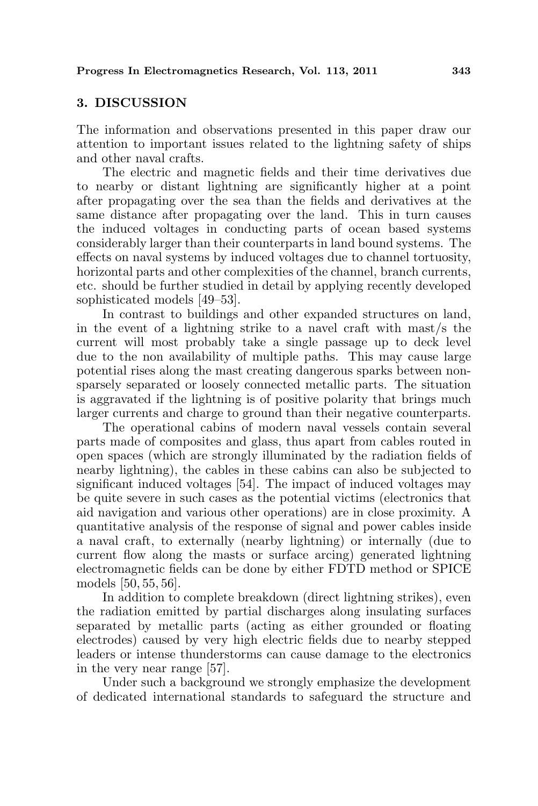#### 3. DISCUSSION

The information and observations presented in this paper draw our attention to important issues related to the lightning safety of ships and other naval crafts.

The electric and magnetic fields and their time derivatives due to nearby or distant lightning are significantly higher at a point after propagating over the sea than the fields and derivatives at the same distance after propagating over the land. This in turn causes the induced voltages in conducting parts of ocean based systems considerably larger than their counterparts in land bound systems. The effects on naval systems by induced voltages due to channel tortuosity, horizontal parts and other complexities of the channel, branch currents, etc. should be further studied in detail by applying recently developed sophisticated models [49–53].

In contrast to buildings and other expanded structures on land, in the event of a lightning strike to a navel craft with mast/s the current will most probably take a single passage up to deck level due to the non availability of multiple paths. This may cause large potential rises along the mast creating dangerous sparks between nonsparsely separated or loosely connected metallic parts. The situation is aggravated if the lightning is of positive polarity that brings much larger currents and charge to ground than their negative counterparts.

The operational cabins of modern naval vessels contain several parts made of composites and glass, thus apart from cables routed in open spaces (which are strongly illuminated by the radiation fields of nearby lightning), the cables in these cabins can also be subjected to significant induced voltages [54]. The impact of induced voltages may be quite severe in such cases as the potential victims (electronics that aid navigation and various other operations) are in close proximity. A quantitative analysis of the response of signal and power cables inside a naval craft, to externally (nearby lightning) or internally (due to current flow along the masts or surface arcing) generated lightning electromagnetic fields can be done by either FDTD method or SPICE models [50, 55, 56].

In addition to complete breakdown (direct lightning strikes), even the radiation emitted by partial discharges along insulating surfaces separated by metallic parts (acting as either grounded or floating electrodes) caused by very high electric fields due to nearby stepped leaders or intense thunderstorms can cause damage to the electronics in the very near range [57].

Under such a background we strongly emphasize the development of dedicated international standards to safeguard the structure and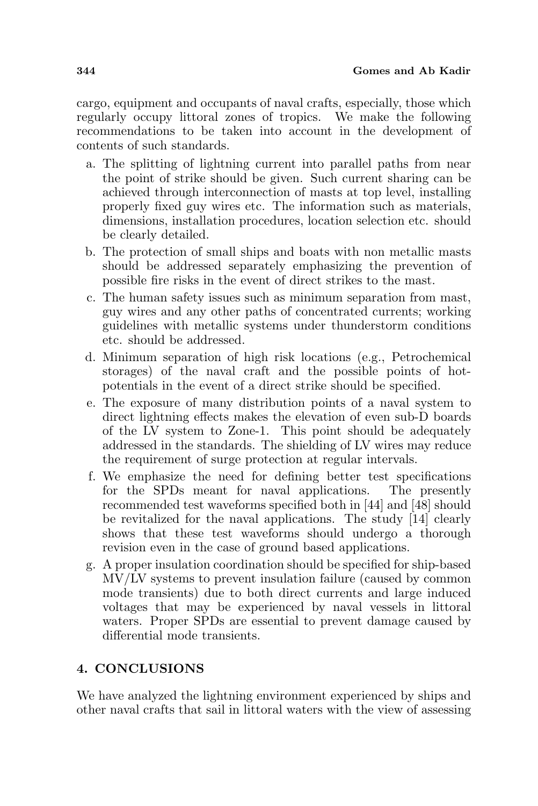cargo, equipment and occupants of naval crafts, especially, those which regularly occupy littoral zones of tropics. We make the following recommendations to be taken into account in the development of contents of such standards.

- a. The splitting of lightning current into parallel paths from near the point of strike should be given. Such current sharing can be achieved through interconnection of masts at top level, installing properly fixed guy wires etc. The information such as materials, dimensions, installation procedures, location selection etc. should be clearly detailed.
- b. The protection of small ships and boats with non metallic masts should be addressed separately emphasizing the prevention of possible fire risks in the event of direct strikes to the mast.
- c. The human safety issues such as minimum separation from mast, guy wires and any other paths of concentrated currents; working guidelines with metallic systems under thunderstorm conditions etc. should be addressed.
- d. Minimum separation of high risk locations (e.g., Petrochemical storages) of the naval craft and the possible points of hotpotentials in the event of a direct strike should be specified.
- e. The exposure of many distribution points of a naval system to direct lightning effects makes the elevation of even sub-D boards of the LV system to Zone-1. This point should be adequately addressed in the standards. The shielding of LV wires may reduce the requirement of surge protection at regular intervals.
- f. We emphasize the need for defining better test specifications for the SPDs meant for naval applications. The presently recommended test waveforms specified both in [44] and [48] should be revitalized for the naval applications. The study [14] clearly shows that these test waveforms should undergo a thorough revision even in the case of ground based applications.
- g. A proper insulation coordination should be specified for ship-based MV/LV systems to prevent insulation failure (caused by common mode transients) due to both direct currents and large induced voltages that may be experienced by naval vessels in littoral waters. Proper SPDs are essential to prevent damage caused by differential mode transients.

# 4. CONCLUSIONS

We have analyzed the lightning environment experienced by ships and other naval crafts that sail in littoral waters with the view of assessing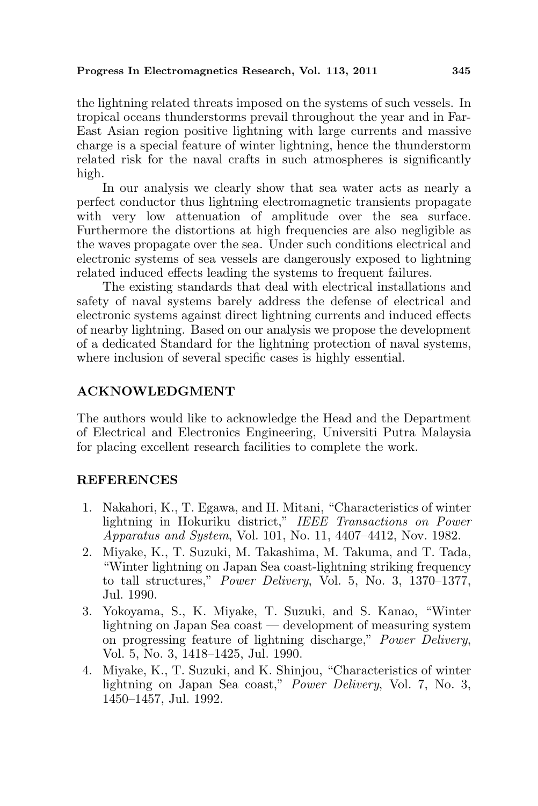#### Progress In Electromagnetics Research, Vol. 113, 2011 345

the lightning related threats imposed on the systems of such vessels. In tropical oceans thunderstorms prevail throughout the year and in Far-East Asian region positive lightning with large currents and massive charge is a special feature of winter lightning, hence the thunderstorm related risk for the naval crafts in such atmospheres is significantly high.

In our analysis we clearly show that sea water acts as nearly a perfect conductor thus lightning electromagnetic transients propagate with very low attenuation of amplitude over the sea surface. Furthermore the distortions at high frequencies are also negligible as the waves propagate over the sea. Under such conditions electrical and electronic systems of sea vessels are dangerously exposed to lightning related induced effects leading the systems to frequent failures.

The existing standards that deal with electrical installations and safety of naval systems barely address the defense of electrical and electronic systems against direct lightning currents and induced effects of nearby lightning. Based on our analysis we propose the development of a dedicated Standard for the lightning protection of naval systems, where inclusion of several specific cases is highly essential.

### ACKNOWLEDGMENT

The authors would like to acknowledge the Head and the Department of Electrical and Electronics Engineering, Universiti Putra Malaysia for placing excellent research facilities to complete the work.

### REFERENCES

- 1. Nakahori, K., T. Egawa, and H. Mitani, "Characteristics of winter lightning in Hokuriku district," IEEE Transactions on Power Apparatus and System, Vol. 101, No. 11, 4407–4412, Nov. 1982.
- 2. Miyake, K., T. Suzuki, M. Takashima, M. Takuma, and T. Tada, "Winter lightning on Japan Sea coast-lightning striking frequency to tall structures," Power Delivery, Vol. 5, No. 3, 1370–1377, Jul. 1990.
- 3. Yokoyama, S., K. Miyake, T. Suzuki, and S. Kanao, "Winter lightning on Japan Sea coast — development of measuring system on progressing feature of lightning discharge," Power Delivery, Vol. 5, No. 3, 1418–1425, Jul. 1990.
- 4. Miyake, K., T. Suzuki, and K. Shinjou, "Characteristics of winter lightning on Japan Sea coast," Power Delivery, Vol. 7, No. 3, 1450–1457, Jul. 1992.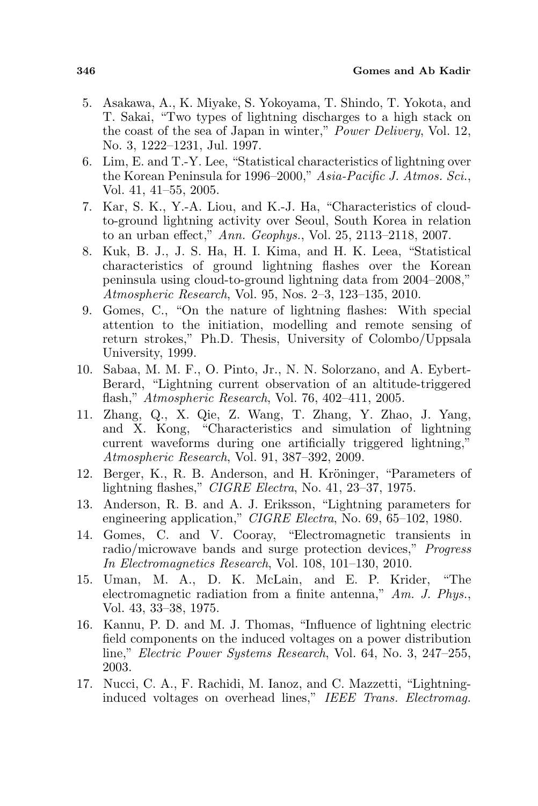- 5. Asakawa, A., K. Miyake, S. Yokoyama, T. Shindo, T. Yokota, and T. Sakai, "Two types of lightning discharges to a high stack on the coast of the sea of Japan in winter," Power Delivery, Vol. 12, No. 3, 1222–1231, Jul. 1997.
- 6. Lim, E. and T.-Y. Lee, "Statistical characteristics of lightning over the Korean Peninsula for 1996–2000," Asia-Pacific J. Atmos. Sci., Vol. 41, 41–55, 2005.
- 7. Kar, S. K., Y.-A. Liou, and K.-J. Ha, "Characteristics of cloudto-ground lightning activity over Seoul, South Korea in relation to an urban effect," Ann. Geophys., Vol. 25, 2113–2118, 2007.
- 8. Kuk, B. J., J. S. Ha, H. I. Kima, and H. K. Leea, "Statistical characteristics of ground lightning flashes over the Korean peninsula using cloud-to-ground lightning data from 2004–2008," Atmospheric Research, Vol. 95, Nos. 2–3, 123–135, 2010.
- 9. Gomes, C., "On the nature of lightning flashes: With special attention to the initiation, modelling and remote sensing of return strokes," Ph.D. Thesis, University of Colombo/Uppsala University, 1999.
- 10. Sabaa, M. M. F., O. Pinto, Jr., N. N. Solorzano, and A. Eybert-Berard, "Lightning current observation of an altitude-triggered flash," Atmospheric Research, Vol. 76, 402–411, 2005.
- 11. Zhang, Q., X. Qie, Z. Wang, T. Zhang, Y. Zhao, J. Yang, and X. Kong, "Characteristics and simulation of lightning current waveforms during one artificially triggered lightning," Atmospheric Research, Vol. 91, 387–392, 2009.
- 12. Berger, K., R. B. Anderson, and H. Kröninger, "Parameters of lightning flashes," CIGRE Electra, No. 41, 23–37, 1975.
- 13. Anderson, R. B. and A. J. Eriksson, "Lightning parameters for engineering application," CIGRE Electra, No. 69, 65–102, 1980.
- 14. Gomes, C. and V. Cooray, "Electromagnetic transients in radio/microwave bands and surge protection devices," Progress In Electromagnetics Research, Vol. 108, 101–130, 2010.
- 15. Uman, M. A., D. K. McLain, and E. P. Krider, "The electromagnetic radiation from a finite antenna," Am. J. Phys., Vol. 43, 33–38, 1975.
- 16. Kannu, P. D. and M. J. Thomas, "Influence of lightning electric field components on the induced voltages on a power distribution line," Electric Power Systems Research, Vol. 64, No. 3, 247–255, 2003.
- 17. Nucci, C. A., F. Rachidi, M. Ianoz, and C. Mazzetti, "Lightninginduced voltages on overhead lines," IEEE Trans. Electromag.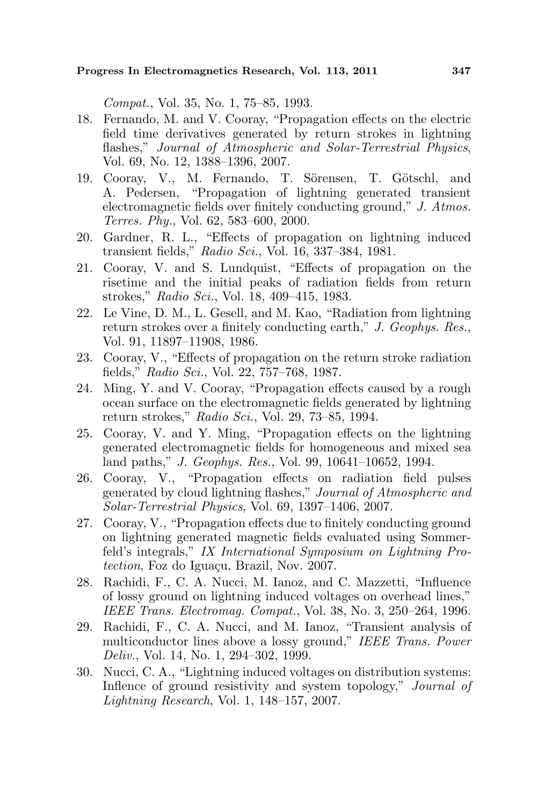Compat., Vol. 35, No. 1, 75–85, 1993.

- 18. Fernando, M. and V. Cooray, "Propagation effects on the electric field time derivatives generated by return strokes in lightning flashes," Journal of Atmospheric and Solar-Terrestrial Physics, Vol. 69, No. 12, 1388–1396, 2007.
- 19. Cooray, V., M. Fernando, T. Sörensen, T. Götschl, and A. Pedersen, "Propagation of lightning generated transient electromagnetic fields over finitely conducting ground," J. Atmos. Terres. Phy., Vol. 62, 583–600, 2000.
- 20. Gardner, R. L., "Effects of propagation on lightning induced transient fields," Radio Sci., Vol. 16, 337–384, 1981.
- 21. Cooray, V. and S. Lundquist, "Effects of propagation on the risetime and the initial peaks of radiation fields from return strokes," Radio Sci., Vol. 18, 409–415, 1983.
- 22. Le Vine, D. M., L. Gesell, and M. Kao, "Radiation from lightning return strokes over a finitely conducting earth," J. Geophys. Res., Vol. 91, 11897–11908, 1986.
- 23. Cooray, V., "Effects of propagation on the return stroke radiation fields," Radio Sci., Vol. 22, 757–768, 1987.
- 24. Ming, Y. and V. Cooray, "Propagation effects caused by a rough ocean surface on the electromagnetic fields generated by lightning return strokes," Radio Sci., Vol. 29, 73–85, 1994.
- 25. Cooray, V. and Y. Ming, "Propagation effects on the lightning generated electromagnetic fields for homogeneous and mixed sea land paths," J. Geophys. Res., Vol. 99, 10641–10652, 1994.
- 26. Cooray, V., "Propagation effects on radiation field pulses generated by cloud lightning flashes," Journal of Atmospheric and Solar-Terrestrial Physics, Vol. 69, 1397–1406, 2007.
- 27. Cooray, V., "Propagation effects due to finitely conducting ground on lightning generated magnetic fields evaluated using Sommerfeld's integrals," IX International Symposium on Lightning Protection, Foz do Iguaçu, Brazil, Nov. 2007.
- 28. Rachidi, F., C. A. Nucci, M. Ianoz, and C. Mazzetti, "Influence of lossy ground on lightning induced voltages on overhead lines," IEEE Trans. Electromag. Compat., Vol. 38, No. 3, 250–264, 1996.
- 29. Rachidi, F., C. A. Nucci, and M. Ianoz, "Transient analysis of multiconductor lines above a lossy ground," IEEE Trans. Power Deliv., Vol. 14, No. 1, 294–302, 1999.
- 30. Nucci, C. A., "Lightning induced voltages on distribution systems: Inflence of ground resistivity and system topology," *Journal of* Lightning Research, Vol. 1, 148–157, 2007.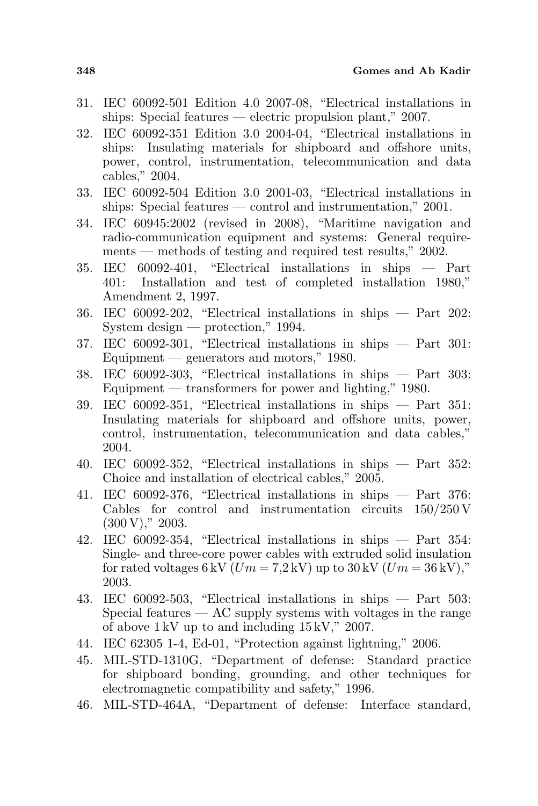- 31. IEC 60092-501 Edition 4.0 2007-08, "Electrical installations in ships: Special features — electric propulsion plant," 2007.
- 32. IEC 60092-351 Edition 3.0 2004-04, "Electrical installations in ships: Insulating materials for shipboard and offshore units, power, control, instrumentation, telecommunication and data cables," 2004.
- 33. IEC 60092-504 Edition 3.0 2001-03, "Electrical installations in ships: Special features — control and instrumentation," 2001.
- 34. IEC 60945:2002 (revised in 2008), "Maritime navigation and radio-communication equipment and systems: General requirements — methods of testing and required test results," 2002.
- 35. IEC 60092-401, "Electrical installations in ships Part 401: Installation and test of completed installation 1980," Amendment 2, 1997.
- 36. IEC 60092-202, "Electrical installations in ships Part 202: System design — protection," 1994.
- 37. IEC 60092-301, "Electrical installations in ships Part 301: Equipment — generators and motors," 1980.
- 38. IEC 60092-303, "Electrical installations in ships Part 303: Equipment — transformers for power and lighting," 1980.
- 39. IEC 60092-351, "Electrical installations in ships Part 351: Insulating materials for shipboard and offshore units, power, control, instrumentation, telecommunication and data cables," 2004.
- 40. IEC 60092-352, "Electrical installations in ships Part 352: Choice and installation of electrical cables," 2005.
- 41. IEC 60092-376, "Electrical installations in ships Part 376: Cables for control and instrumentation circuits  $150/250 \text{ V}$  $(300 V)$ ," 2003.
- 42. IEC 60092-354, "Electrical installations in ships Part 354: Single- and three-core power cables with extruded solid insulation for rated voltages 6 kV  $(Um = 7.2 \text{ kV})$  up to  $30 \text{ kV}$   $(Um = 36 \text{ kV})$ ," 2003.
- 43. IEC 60092-503, "Electrical installations in ships Part 503: Special features  $-$  AC supply systems with voltages in the range of above 1 kV up to and including 15 kV," 2007.
- 44. IEC 62305 1-4, Ed-01, "Protection against lightning," 2006.
- 45. MIL-STD-1310G, "Department of defense: Standard practice for shipboard bonding, grounding, and other techniques for electromagnetic compatibility and safety," 1996.
- 46. MIL-STD-464A, "Department of defense: Interface standard,